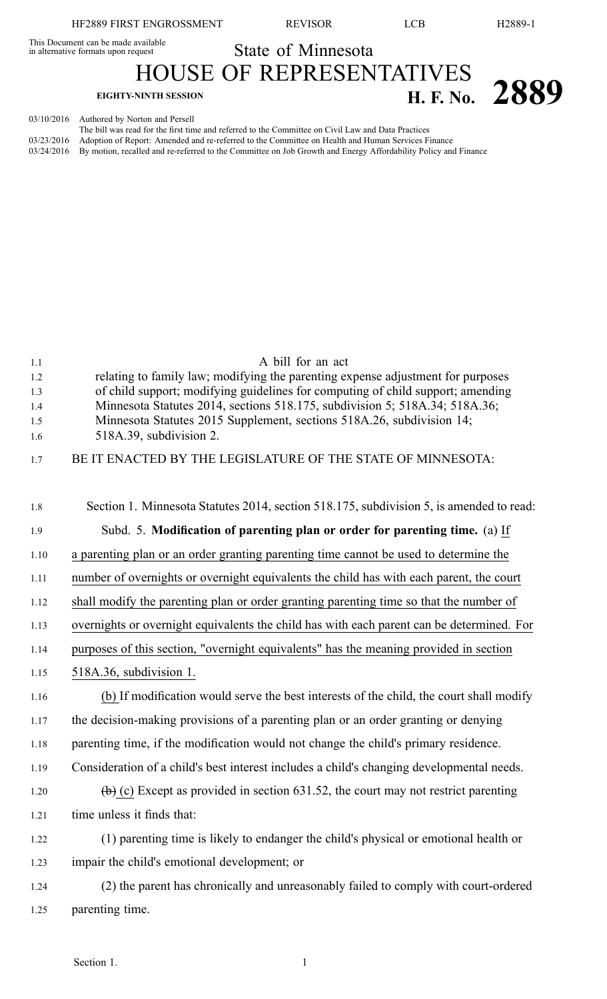HF2889 FIRST ENGROSSMENT REVISOR LCB H2889-1

This Document can be made available

This Document can be made available<br>in alternative formats upon request State of Minnesota

HOUSE OF REPRESENTATIVES **EIGHTY-NINTH SESSION H. F. No. 2889** 

03/10/2016 Authored by Norton and Persell

The bill was read for the first time and referred to the Committee on Civil Law and Data Practices 03/23/2016 Adoption of Report: Amended and re-referred to the Committee on Health and Human Services Finance 03/24/2016 By motion, recalled and re-referred to the Committee on Job Growth and Energy Affordability Policy and Finance

| 1.1  | A bill for an act                                                                                         |
|------|-----------------------------------------------------------------------------------------------------------|
| 1.2  | relating to family law; modifying the parenting expense adjustment for purposes                           |
| 1.3  | of child support; modifying guidelines for computing of child support; amending                           |
| 1.4  | Minnesota Statutes 2014, sections 518.175, subdivision 5; 518A.34; 518A.36;                               |
| 1.5  | Minnesota Statutes 2015 Supplement, sections 518A.26, subdivision 14;                                     |
| 1.6  | 518A.39, subdivision 2.                                                                                   |
| 1.7  | BE IT ENACTED BY THE LEGISLATURE OF THE STATE OF MINNESOTA:                                               |
| 1.8  | Section 1. Minnesota Statutes 2014, section 518.175, subdivision 5, is amended to read:                   |
| 1.9  | Subd. 5. Modification of parenting plan or order for parenting time. (a) If                               |
| 1.10 | a parenting plan or an order granting parenting time cannot be used to determine the                      |
| 1.11 | number of overnights or overnight equivalents the child has with each parent, the court                   |
| 1.12 | shall modify the parenting plan or order granting parenting time so that the number of                    |
| 1.13 | overnights or overnight equivalents the child has with each parent can be determined. For                 |
| 1.14 | purposes of this section, "overnight equivalents" has the meaning provided in section                     |
| 1.15 | 518A.36, subdivision 1.                                                                                   |
| 1.16 | (b) If modification would serve the best interests of the child, the court shall modify                   |
| 1.17 | the decision-making provisions of a parenting plan or an order granting or denying                        |
| 1.18 | parenting time, if the modification would not change the child's primary residence.                       |
| 1.19 | Consideration of a child's best interest includes a child's changing developmental needs.                 |
| 1.20 | $\left(\frac{b}{c}\right)$ (c) Except as provided in section 631.52, the court may not restrict parenting |
| 1.21 | time unless it finds that:                                                                                |
| 1.22 | (1) parenting time is likely to endanger the child's physical or emotional health or                      |
| 1.23 | impair the child's emotional development; or                                                              |
| 1.24 | (2) the parent has chronically and unreasonably failed to comply with court-ordered                       |
| 1.25 | parenting time.                                                                                           |
|      |                                                                                                           |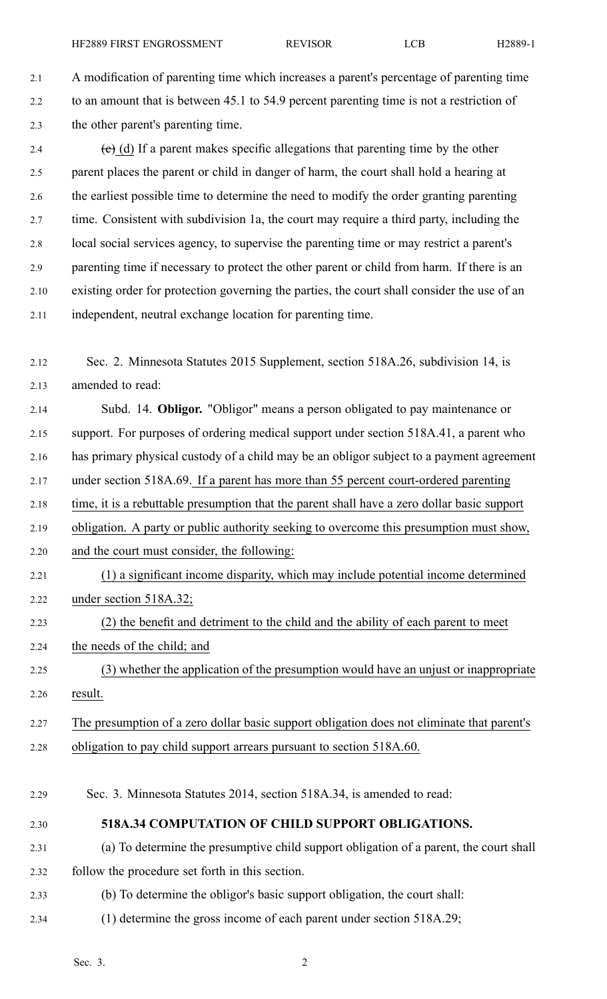2.1 A modification of parenting time which increases <sup>a</sup> parent's percentage of parenting time 2.2 to an amount that is between 45.1 to 54.9 percen<sup>t</sup> parenting time is not <sup>a</sup> restriction of 2.3 the other parent's parenting time.

2.4 (c) (d) If a parent makes specific allegations that parenting time by the other 2.5 paren<sup>t</sup> places the paren<sup>t</sup> or child in danger of harm, the court shall hold <sup>a</sup> hearing at 2.6 the earliest possible time to determine the need to modify the order granting parenting 2.7 time. Consistent with subdivision 1a, the court may require <sup>a</sup> third party, including the 2.8 local social services agency, to supervise the parenting time or may restrict <sup>a</sup> parent's 2.9 parenting time if necessary to protect the other paren<sup>t</sup> or child from harm. If there is an 2.10 existing order for protection governing the parties, the court shall consider the use of an 2.11 independent, neutral exchange location for parenting time.

2.12 Sec. 2. Minnesota Statutes 2015 Supplement, section 518A.26, subdivision 14, is 2.13 amended to read:

2.14 Subd. 14. **Obligor.** "Obligor" means <sup>a</sup> person obligated to pay maintenance or 2.15 support. For purposes of ordering medical suppor<sup>t</sup> under section 518A.41, <sup>a</sup> paren<sup>t</sup> who 2.16 has primary physical custody of <sup>a</sup> child may be an obligor subject to <sup>a</sup> paymen<sup>t</sup> agreemen<sup>t</sup> 2.17 under section 518A.69. If <sup>a</sup> paren<sup>t</sup> has more than 55 percen<sup>t</sup> court-ordered parenting

2.18 time, it is <sup>a</sup> rebuttable presumption that the paren<sup>t</sup> shall have <sup>a</sup> zero dollar basic suppor<sup>t</sup>

2.19 obligation. A party or public authority seeking to overcome this presumption must show,

2.20 and the court must consider, the following:

2.21 (1) <sup>a</sup> significant income disparity, which may include potential income determined 2.22 under section 518A.32;

2.23 (2) the benefit and detriment to the child and the ability of each paren<sup>t</sup> to meet

2.24 the needs of the child; and

2.25 (3) whether the application of the presumption would have an unjust or inappropriate 2.26 result.

2.27 The presumption of <sup>a</sup> zero dollar basic suppor<sup>t</sup> obligation does not eliminate that parent's 2.28 obligation to pay child suppor<sup>t</sup> arrears pursuan<sup>t</sup> to section 518A.60.

2.29 Sec. 3. Minnesota Statutes 2014, section 518A.34, is amended to read:

2.30 **518A.34 COMPUTATION OF CHILD SUPPORT OBLIGATIONS.**

2.31 (a) To determine the presumptive child suppor<sup>t</sup> obligation of <sup>a</sup> parent, the court shall 2.32 follow the procedure set forth in this section.

- 2.33 (b) To determine the obligor's basic suppor<sup>t</sup> obligation, the court shall:
- 2.34 (1) determine the gross income of each paren<sup>t</sup> under section 518A.29;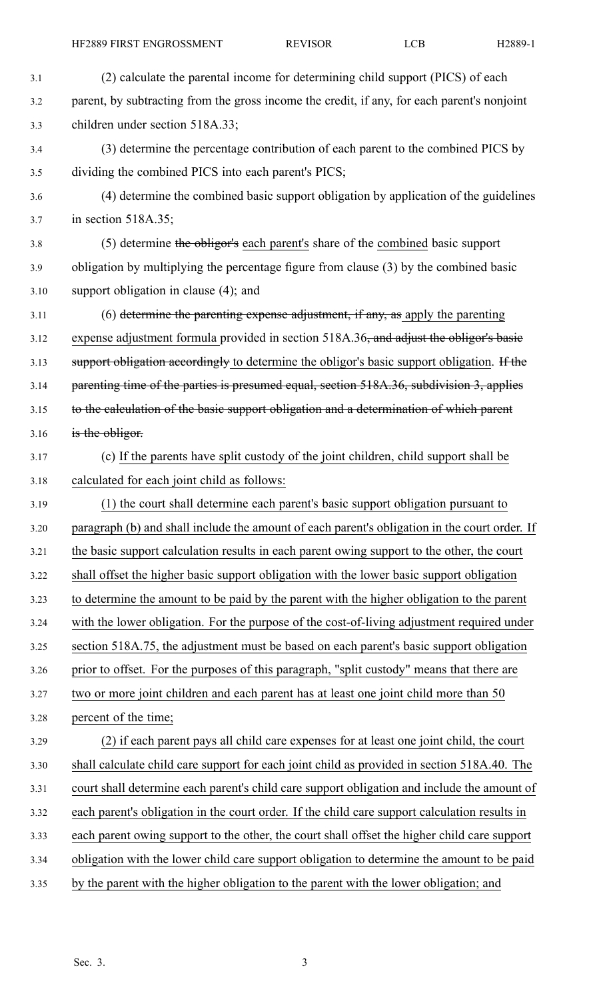| 3.1  | (2) calculate the parental income for determining child support (PICS) of each                |
|------|-----------------------------------------------------------------------------------------------|
| 3.2  | parent, by subtracting from the gross income the credit, if any, for each parent's nonjoint   |
| 3.3  | children under section 518A.33;                                                               |
| 3.4  | (3) determine the percentage contribution of each parent to the combined PICS by              |
| 3.5  | dividing the combined PICS into each parent's PICS;                                           |
| 3.6  | (4) determine the combined basic support obligation by application of the guidelines          |
| 3.7  | in section 518A.35;                                                                           |
| 3.8  | (5) determine the obligor's each parent's share of the combined basic support                 |
| 3.9  | obligation by multiplying the percentage figure from clause (3) by the combined basic         |
| 3.10 | support obligation in clause $(4)$ ; and                                                      |
| 3.11 | (6) determine the parenting expense adjustment, if any, as apply the parenting                |
| 3.12 | expense adjustment formula provided in section 518A.36, and adjust the obligor's basic        |
| 3.13 | support obligation accordingly to determine the obligor's basic support obligation. If the    |
| 3.14 | parenting time of the parties is presumed equal, section 518A.36, subdivision 3, applies      |
| 3.15 | to the calculation of the basic support obligation and a determination of which parent        |
| 3.16 | is the obligor.                                                                               |
| 3.17 | (c) If the parents have split custody of the joint children, child support shall be           |
| 3.18 | calculated for each joint child as follows:                                                   |
| 3.19 | (1) the court shall determine each parent's basic support obligation pursuant to              |
| 3.20 | paragraph (b) and shall include the amount of each parent's obligation in the court order. If |
| 3.21 | the basic support calculation results in each parent owing support to the other, the court    |
| 3.22 | shall offset the higher basic support obligation with the lower basic support obligation      |
| 3.23 | to determine the amount to be paid by the parent with the higher obligation to the parent     |
| 3.24 | with the lower obligation. For the purpose of the cost-of-living adjustment required under    |
| 3.25 | section 518A.75, the adjustment must be based on each parent's basic support obligation       |
| 3.26 | prior to offset. For the purposes of this paragraph, "split custody" means that there are     |
| 3.27 | two or more joint children and each parent has at least one joint child more than 50          |
| 3.28 | percent of the time;                                                                          |
| 3.29 | (2) if each parent pays all child care expenses for at least one joint child, the court       |
| 3.30 | shall calculate child care support for each joint child as provided in section 518A.40. The   |
| 3.31 | court shall determine each parent's child care support obligation and include the amount of   |
| 3.32 | each parent's obligation in the court order. If the child care support calculation results in |
| 3.33 | each parent owing support to the other, the court shall offset the higher child care support  |
| 3.34 | obligation with the lower child care support obligation to determine the amount to be paid    |
| 3.35 | by the parent with the higher obligation to the parent with the lower obligation; and         |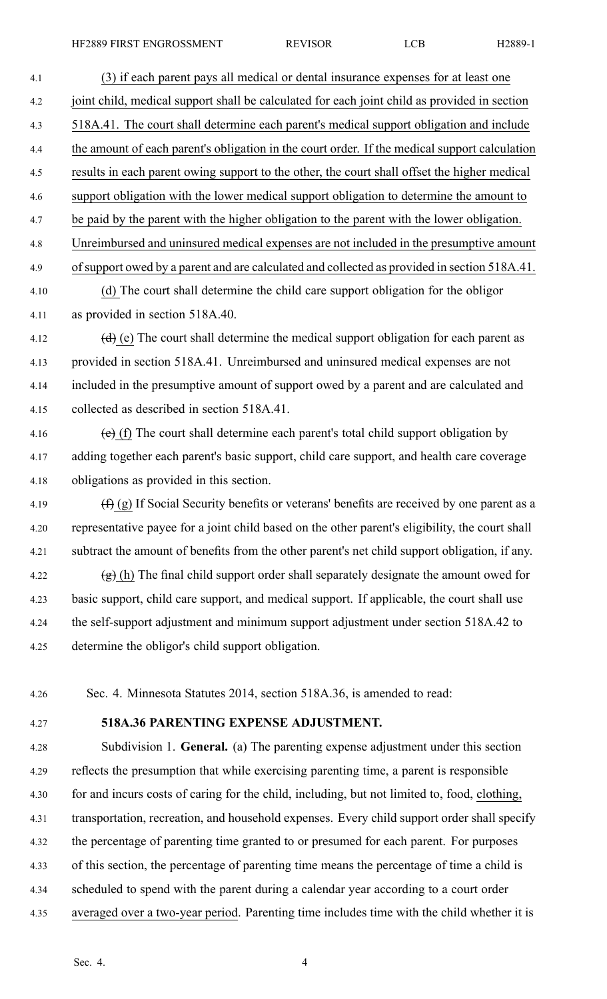4.1 (3) if each paren<sup>t</sup> pays all medical or dental insurance expenses for at least one 4.2 joint child, medical suppor<sup>t</sup> shall be calculated for each joint child as provided in section 4.3 518A.41. The court shall determine each parent's medical suppor<sup>t</sup> obligation and include 4.4 the amount of each parent's obligation in the court order. If the medical suppor<sup>t</sup> calculation 4.5 results in each paren<sup>t</sup> owing suppor<sup>t</sup> to the other, the court shall offset the higher medical 4.6 suppor<sup>t</sup> obligation with the lower medical suppor<sup>t</sup> obligation to determine the amount to 4.7 be paid by the paren<sup>t</sup> with the higher obligation to the paren<sup>t</sup> with the lower obligation. 4.8 Unreimbursed and uninsured medical expenses are not included in the presumptive amount 4.9 ofsupport owed by <sup>a</sup> paren<sup>t</sup> and are calculated and collected as provided in section 518A.41. 4.10 (d) The court shall determine the child care suppor<sup>t</sup> obligation for the obligor 4.11 as provided in section 518A.40. 4.12 (d) (e) The court shall determine the medical support obligation for each parent as 4.13 provided in section 518A.41. Unreimbursed and uninsured medical expenses are not 4.14 included in the presumptive amount of suppor<sup>t</sup> owed by <sup>a</sup> paren<sup>t</sup> and are calculated and 4.15 collected as described in section 518A.41. 4.16  $\left(\text{e}\right)$  (f) The court shall determine each parent's total child support obligation by 4.17 adding together each parent's basic support, child care support, and health care coverage 4.18 obligations as provided in this section. 4.19  $(f)$  (g) If Social Security benefits or veterans' benefits are received by one parent as a 4.20 representative payee for <sup>a</sup> joint child based on the other parent's eligibility, the court shall 4.21 subtract the amount of benefits from the other parent's net child suppor<sup>t</sup> obligation, if any. 4.22 (g) (h) The final child support order shall separately designate the amount owed for 4.23 basic support, child care support, and medical support. If applicable, the court shall use 4.24 the self-support adjustment and minimum suppor<sup>t</sup> adjustment under section 518A.42 to 4.25 determine the obligor's child suppor<sup>t</sup> obligation.

4.26 Sec. 4. Minnesota Statutes 2014, section 518A.36, is amended to read:

4.27 **518A.36 PARENTING EXPENSE ADJUSTMENT.**

4.28 Subdivision 1. **General.** (a) The parenting expense adjustment under this section 4.29 reflects the presumption that while exercising parenting time, <sup>a</sup> paren<sup>t</sup> is responsible 4.30 for and incurs costs of caring for the child, including, but not limited to, food, clothing, 4.31 transportation, recreation, and household expenses. Every child suppor<sup>t</sup> order shall specify 4.32 the percentage of parenting time granted to or presumed for each parent. For purposes 4.33 of this section, the percentage of parenting time means the percentage of time <sup>a</sup> child is 4.34 scheduled to spend with the paren<sup>t</sup> during <sup>a</sup> calendar year according to <sup>a</sup> court order 4.35 averaged over <sup>a</sup> two-year period. Parenting time includes time with the child whether it is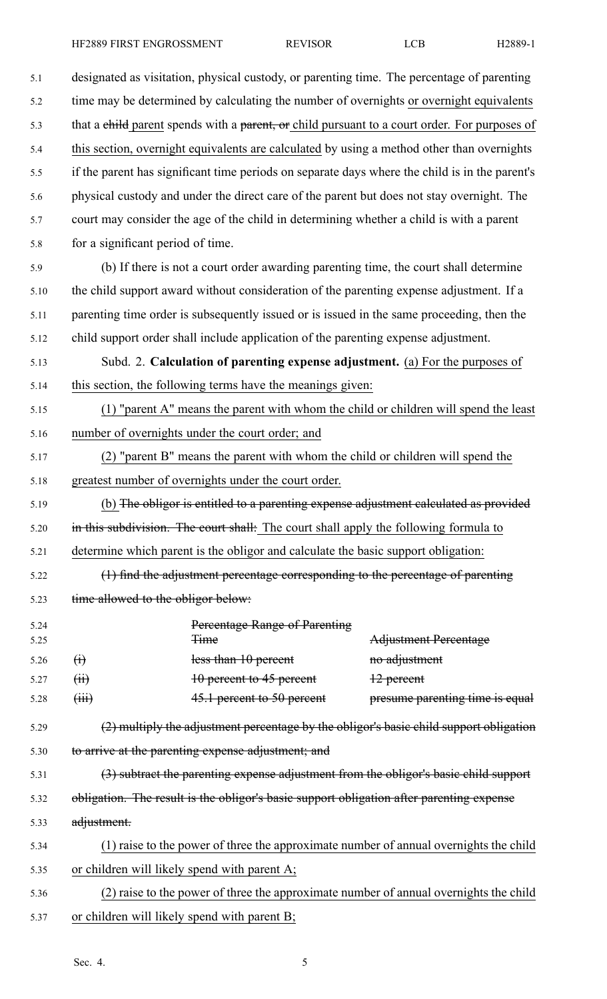5.1 designated as visitation, physical custody, or parenting time. The percentage of parenting 5.2 time may be determined by calculating the number of overnights or overnight equivalents 5.3 that a child parent spends with a parent, or child pursuant to a court order. For purposes of 5.4 this section, overnight equivalents are calculated by using <sup>a</sup> method other than overnights 5.5 if the paren<sup>t</sup> has significant time periods on separate days where the child is in the parent's 5.6 physical custody and under the direct care of the paren<sup>t</sup> but does not stay overnight. The 5.7 court may consider the age of the child in determining whether <sup>a</sup> child is with <sup>a</sup> paren<sup>t</sup> 5.8 for <sup>a</sup> significant period of time. 5.9 (b) If there is not <sup>a</sup> court order awarding parenting time, the court shall determine 5.10 the child suppor<sup>t</sup> award without consideration of the parenting expense adjustment. If <sup>a</sup> 5.11 parenting time order is subsequently issued or is issued in the same proceeding, then the 5.12 child suppor<sup>t</sup> order shall include application of the parenting expense adjustment. 5.13 Subd. 2. **Calculation of parenting expense adjustment.** (a) For the purposes of 5.14 this section, the following terms have the meanings given: 5.15 (1) "parent A" means the paren<sup>t</sup> with whom the child or children will spend the least 5.16 number of overnights under the court order; and 5.17 (2) "parent B" means the paren<sup>t</sup> with whom the child or children will spend the 5.18 greatest number of overnights under the court order. 5.19 (b) The obligor is entitled to <sup>a</sup> parenting expense adjustment calculated as provided 5.20 in this subdivision. The court shall: The court shall apply the following formula to 5.21 determine which paren<sup>t</sup> is the obligor and calculate the basic suppor<sup>t</sup> obligation: 5.22 (1) find the adjustment percentage corresponding to the percentage of parenting 5.23 time allowed to the obligor below: 5.24 Percentage Range of Parenting 5.25 Time Adjustment Percentage 5.26 (i) less than 10 percent no adjustment 5.27 (ii) 10 percent to 45 percent 12 percent 5.28 (iii) 45.1 percent to 50 percent presume parenting time is equal 5.29 (2) multiply the adjustment percentage by the obligor's basic child suppor<sup>t</sup> obligation 5.30 to arrive at the parenting expense adjustment; and 5.31 (3) subtract the parenting expense adjustment from the obligor's basic child suppor<sup>t</sup> 5.32 obligation. The result is the obligor's basic suppor<sup>t</sup> obligation after parenting expense 5.33 adjustment. 5.34 (1) raise to the power of three the approximate number of annual overnights the child 5.35 or children will likely spend with paren<sup>t</sup> A; 5.36 (2) raise to the power of three the approximate number of annual overnights the child 5.37 or children will likely spend with paren<sup>t</sup> B;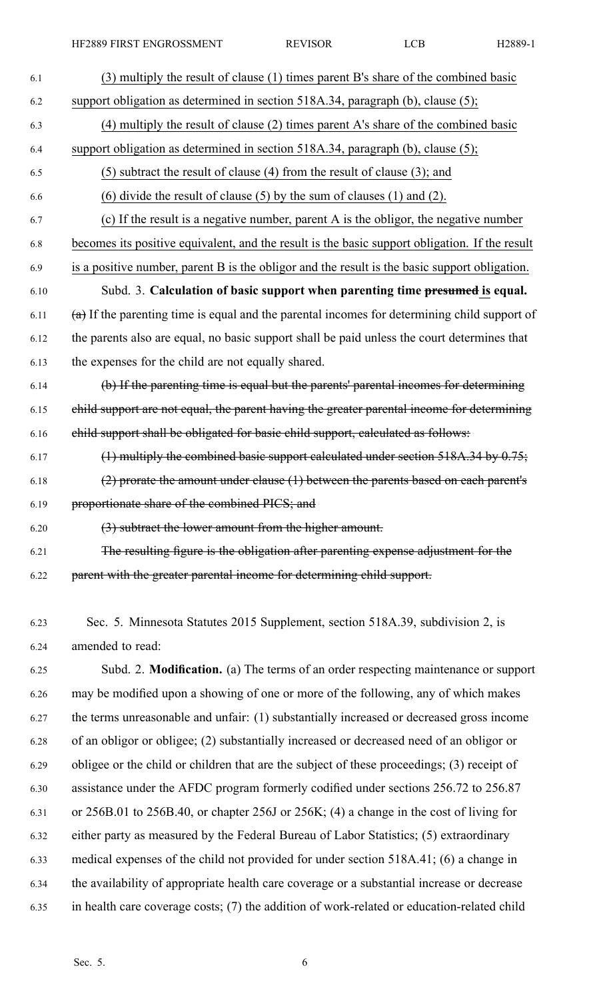| 6.1  | (3) multiply the result of clause (1) times parent B's share of the combined basic               |
|------|--------------------------------------------------------------------------------------------------|
| 6.2  | support obligation as determined in section 518A.34, paragraph (b), clause (5);                  |
| 6.3  | (4) multiply the result of clause (2) times parent A's share of the combined basic               |
| 6.4  | support obligation as determined in section 518A.34, paragraph (b), clause (5);                  |
| 6.5  | $(5)$ subtract the result of clause (4) from the result of clause (3); and                       |
| 6.6  | $(6)$ divide the result of clause $(5)$ by the sum of clauses $(1)$ and $(2)$ .                  |
| 6.7  | (c) If the result is a negative number, parent A is the obligor, the negative number             |
| 6.8  | becomes its positive equivalent, and the result is the basic support obligation. If the result   |
| 6.9  | is a positive number, parent B is the obligor and the result is the basic support obligation.    |
| 6.10 | Subd. 3. Calculation of basic support when parenting time presumed is equal.                     |
| 6.11 | $(a)$ If the parenting time is equal and the parental incomes for determining child support of   |
| 6.12 | the parents also are equal, no basic support shall be paid unless the court determines that      |
| 6.13 | the expenses for the child are not equally shared.                                               |
| 6.14 | (b) If the parenting time is equal but the parents' parental incomes for determining             |
| 6.15 | child support are not equal, the parent having the greater parental income for determining       |
| 6.16 | child support shall be obligated for basic child support, calculated as follows:                 |
| 6.17 | (1) multiply the combined basic support calculated under section $518A.34$ by $0.75$ ;           |
| 6.18 | $(2)$ prorate the amount under clause $(1)$ between the parents based on each parent's           |
| 6.19 | proportionate share of the combined PICS; and                                                    |
| 6.20 | (3) subtract the lower amount from the higher amount.                                            |
| 6.21 | The resulting figure is the obligation after parenting expense adjustment for the                |
| 6.22 | parent with the greater parental income for determining child support.                           |
|      |                                                                                                  |
| 6.23 | Sec. 5. Minnesota Statutes 2015 Supplement, section 518A.39, subdivision 2, is                   |
| 6.24 | amended to read:                                                                                 |
| 6.25 | Subd. 2. Modification. (a) The terms of an order respecting maintenance or support               |
| 6.26 | may be modified upon a showing of one or more of the following, any of which makes               |
| 6.27 | the terms unreasonable and unfair: (1) substantially increased or decreased gross income         |
| 6.28 | of an obligor or obligee; (2) substantially increased or decreased need of an obligor or         |
| 6.29 | obligee or the child or children that are the subject of these proceedings; (3) receipt of       |
| 6.30 | assistance under the AFDC program formerly codified under sections 256.72 to 256.87              |
| 6.31 | or $256B.01$ to $256B.40$ , or chapter $256J$ or $256K$ ; (4) a change in the cost of living for |
| 6.32 | either party as measured by the Federal Bureau of Labor Statistics; (5) extraordinary            |
| 6.33 | medical expenses of the child not provided for under section 518A.41; (6) a change in            |
| 6.34 | the availability of appropriate health care coverage or a substantial increase or decrease       |
| 6.35 | in health care coverage costs; (7) the addition of work-related or education-related child       |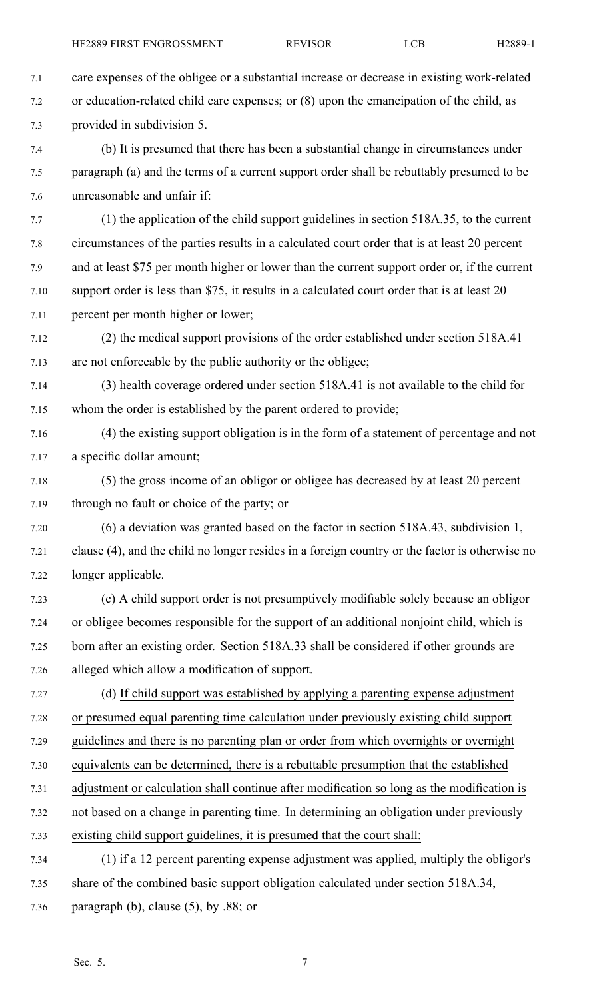- 
- 7.1 care expenses of the obligee or <sup>a</sup> substantial increase or decrease in existing work-related 7.2 or education-related child care expenses; or (8) upon the emancipation of the child, as 7.3 provided in subdivision 5. 7.4 (b) It is presumed that there has been <sup>a</sup> substantial change in circumstances under 7.5 paragraph (a) and the terms of <sup>a</sup> current suppor<sup>t</sup> order shall be rebuttably presumed to be 7.6 unreasonable and unfair if: 7.7 (1) the application of the child suppor<sup>t</sup> guidelines in section 518A.35, to the current 7.8 circumstances of the parties results in <sup>a</sup> calculated court order that is at least 20 percen<sup>t</sup> 7.9 and at least \$75 per month higher or lower than the current suppor<sup>t</sup> order or, if the current 7.10 suppor<sup>t</sup> order is less than \$75, it results in <sup>a</sup> calculated court order that is at least 20 7.11 percen<sup>t</sup> per month higher or lower; 7.12 (2) the medical suppor<sup>t</sup> provisions of the order established under section 518A.41 7.13 are not enforceable by the public authority or the obligee; 7.14 (3) health coverage ordered under section 518A.41 is not available to the child for 7.15 whom the order is established by the paren<sup>t</sup> ordered to provide; 7.16 (4) the existing suppor<sup>t</sup> obligation is in the form of <sup>a</sup> statement of percentage and not 7.17 <sup>a</sup> specific dollar amount; 7.18 (5) the gross income of an obligor or obligee has decreased by at least 20 percen<sup>t</sup> 7.19 through no fault or choice of the party; or 7.20 (6) <sup>a</sup> deviation was granted based on the factor in section 518A.43, subdivision 1, 7.21 clause (4), and the child no longer resides in <sup>a</sup> foreign country or the factor is otherwise no 7.22 longer applicable. 7.23 (c) A child suppor<sup>t</sup> order is not presumptively modifiable solely because an obligor 7.24 or obligee becomes responsible for the suppor<sup>t</sup> of an additional nonjoint child, which is 7.25 born after an existing order. Section 518A.33 shall be considered if other grounds are 7.26 alleged which allow <sup>a</sup> modification of support. 7.27 (d) If child suppor<sup>t</sup> was established by applying <sup>a</sup> parenting expense adjustment 7.28 or presumed equal parenting time calculation under previously existing child suppor<sup>t</sup> 7.29 guidelines and there is no parenting plan or order from which overnights or overnight 7.30 equivalents can be determined, there is <sup>a</sup> rebuttable presumption that the established 7.31 adjustment or calculation shall continue after modification so long as the modification is 7.32 not based on <sup>a</sup> change in parenting time. In determining an obligation under previously 7.33 existing child suppor<sup>t</sup> guidelines, it is presumed that the court shall: 7.34 (1) if <sup>a</sup> 12 percen<sup>t</sup> parenting expense adjustment was applied, multiply the obligor's 7.35 share of the combined basic suppor<sup>t</sup> obligation calculated under section 518A.34, 7.36 paragraph (b), clause (5), by .88; or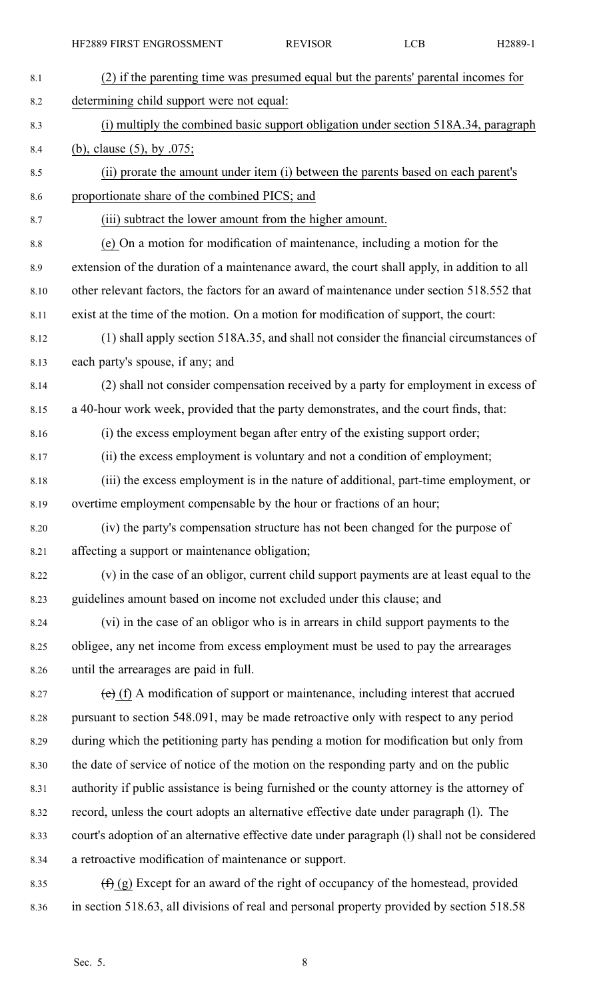| 8.1  | (2) if the parenting time was presumed equal but the parents' parental incomes for            |
|------|-----------------------------------------------------------------------------------------------|
| 8.2  | determining child support were not equal:                                                     |
| 8.3  | (i) multiply the combined basic support obligation under section 518A.34, paragraph           |
| 8.4  | (b), clause $(5)$ , by .075;                                                                  |
| 8.5  | (ii) prorate the amount under item (i) between the parents based on each parent's             |
| 8.6  | proportionate share of the combined PICS; and                                                 |
| 8.7  | (iii) subtract the lower amount from the higher amount.                                       |
| 8.8  | (e) On a motion for modification of maintenance, including a motion for the                   |
| 8.9  | extension of the duration of a maintenance award, the court shall apply, in addition to all   |
| 8.10 | other relevant factors, the factors for an award of maintenance under section 518.552 that    |
| 8.11 | exist at the time of the motion. On a motion for modification of support, the court:          |
| 8.12 | (1) shall apply section 518A.35, and shall not consider the financial circumstances of        |
| 8.13 | each party's spouse, if any; and                                                              |
| 8.14 | (2) shall not consider compensation received by a party for employment in excess of           |
| 8.15 | a 40-hour work week, provided that the party demonstrates, and the court finds, that:         |
| 8.16 | (i) the excess employment began after entry of the existing support order;                    |
| 8.17 | (ii) the excess employment is voluntary and not a condition of employment;                    |
| 8.18 | (iii) the excess employment is in the nature of additional, part-time employment, or          |
| 8.19 | overtime employment compensable by the hour or fractions of an hour;                          |
| 8.20 | (iv) the party's compensation structure has not been changed for the purpose of               |
| 8.21 | affecting a support or maintenance obligation;                                                |
| 8.22 | (v) in the case of an obligor, current child support payments are at least equal to the       |
| 8.23 | guidelines amount based on income not excluded under this clause; and                         |
| 8.24 | (vi) in the case of an obligor who is in arrears in child support payments to the             |
| 8.25 | obligee, any net income from excess employment must be used to pay the arrearages             |
| 8.26 | until the arrearages are paid in full.                                                        |
| 8.27 | $(e)$ (f) A modification of support or maintenance, including interest that accrued           |
| 8.28 | pursuant to section 548.091, may be made retroactive only with respect to any period          |
| 8.29 | during which the petitioning party has pending a motion for modification but only from        |
| 8.30 | the date of service of notice of the motion on the responding party and on the public         |
| 8.31 | authority if public assistance is being furnished or the county attorney is the attorney of   |
| 8.32 | record, unless the court adopts an alternative effective date under paragraph (1). The        |
| 8.33 | court's adoption of an alternative effective date under paragraph (1) shall not be considered |
| 8.34 | a retroactive modification of maintenance or support.                                         |
|      |                                                                                               |

8.35 (f) (g) Except for an award of the right of occupancy of the homestead, provided 8.36 in section 518.63, all divisions of real and personal property provided by section 518.58